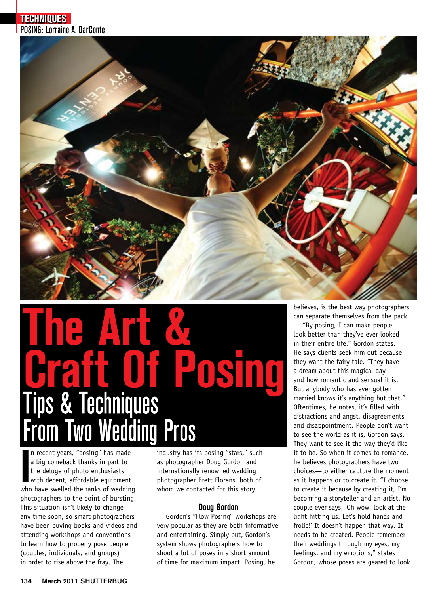

# $\overline{\phantom{a}}$ OSI

In recent years, "posing" has made<br>a big comeback thanks in part to<br>the deluge of photo enthusiasts<br>with decent, affordable equipment<br>who have swelled the ranks of wedding n recent years, "posing" has made a big comeback thanks in part to the deluge of photo enthusiasts with decent, affordable equipment photographers to the point of bursting. This situation isn't likely to change any time soon, so smart photographers have been buying books and videos and attending workshops and conventions to learn how to properly pose people (couples, individuals, and groups) in order to rise above the fray. The

industry has its posing "stars," such as photographer Doug Gordon and internationally renowned wedding photographer Brett Florens, both of whom we contacted for this story.

# **Doug Gordon**

Gordon's "Flow Posing" workshops are very popular as they are both informative and entertaining. Simply put, Gordon's system shows photographers how to shoot a lot of poses in a short amount of time for maximum impact. Posing, he

believes, is the best way photographers can separate themselves from the pack.

"By posing, I can make people look better than they've ever looked in their entire life," Gordon states. He says clients seek him out because they want the fairy tale. "They have a dream about this magical day and how romantic and sensual it is. But anybody who has ever gotten married knows it's anything but that." Oftentimes, he notes, it's filled with distractions and angst, disagreements and disappointment. People don't want to see the world as it is, Gordon says. They want to see it the way they'd like it to be. So when it comes to romance, he believes photographers have two choices—to either capture the moment as it happens or to create it. "I choose to create it because by creating it, I'm becoming a storyteller and an artist. No couple ever says, 'Oh wow, look at the light hitting us. Let's hold hands and frolic!' It doesn't happen that way. It needs to be created. People remember their weddings through my eyes, my feelings, and my emotions," states Gordon, whose poses are geared to look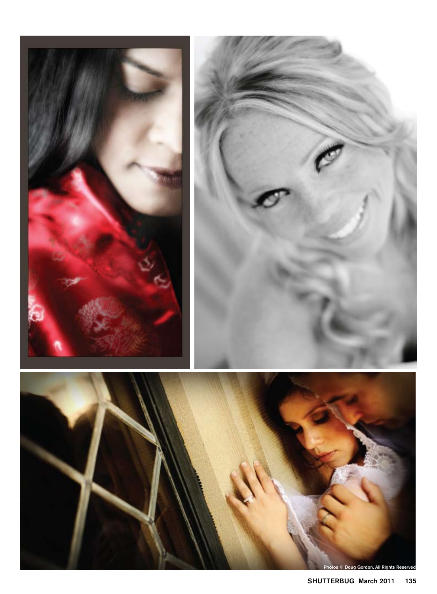

s © Doug Gordon, All Rights Reserve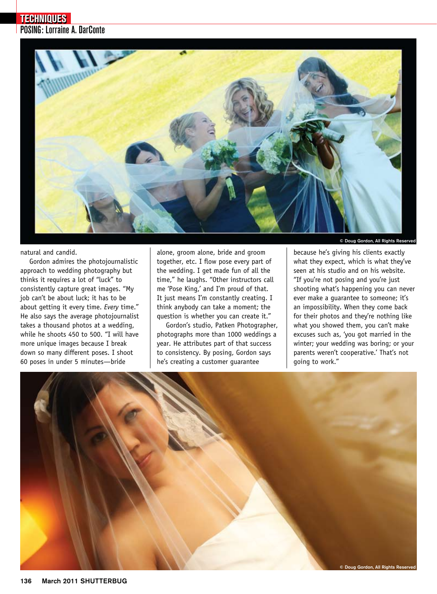

natural and candid.

Gordon admires the photojournalistic approach to wedding photography but thinks it requires a lot of "luck" to consistently capture great images. "My job can't be about luck; it has to be about getting it every time. *Every* time." He also says the average photojournalist takes a thousand photos at a wedding, while he shoots 450 to 500. "I will have more unique images because I break down so many different poses. I shoot 60 poses in under 5 minutes—bride

alone, groom alone, bride and groom together, etc. I flow pose every part of the wedding. I get made fun of all the time," he laughs. "Other instructors call me 'Pose King,' and I'm proud of that. It just means I'm constantly creating. I think anybody can take a moment; the question is whether you can create it."

Gordon's studio, Patken Photographer, photographs more than 1000 weddings a year. He attributes part of that success to consistency. By posing, Gordon says he's creating a customer guarantee

© Doug Gordon, All Rights Reserved

because he's giving his clients exactly what they expect, which is what they've seen at his studio and on his website. "If you're not posing and you're just shooting what's happening you can never ever make a guarantee to someone; it's an impossibility. When they come back for their photos and they're nothing like what you showed them, you can't make excuses such as, 'you got married in the winter; your wedding was boring; or your parents weren't cooperative.' That's not going to work."

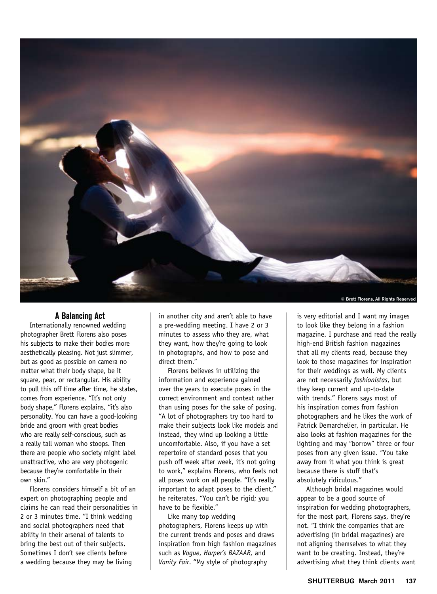

© Brett Florens, All Rights Reserved

### **A Balancing Act**

Internationally renowned wedding photographer Brett Florens also poses his subjects to make their bodies more aesthetically pleasing. Not just slimmer, but as good as possible on camera no matter what their body shape, be it square, pear, or rectangular. His ability to pull this off time after time, he states, comes from experience. "It's not only body shape," Florens explains, "it's also personality. You can have a good-looking bride and groom with great bodies who are really self-conscious, such as a really tall woman who stoops. Then there are people who society might label unattractive, who are very photogenic because they're comfortable in their own skin."

Florens considers himself a bit of an expert on photographing people and claims he can read their personalities in 2 or 3 minutes time. "I think wedding and social photographers need that ability in their arsenal of talents to bring the best out of their subjects. Sometimes I don't see clients before a wedding because they may be living

in another city and aren't able to have a pre-wedding meeting. I have 2 or 3 minutes to assess who they are, what they want, how they're going to look in photographs, and how to pose and direct them."

Florens believes in utilizing the information and experience gained over the years to execute poses in the correct environment and context rather than using poses for the sake of posing. "A lot of photographers try too hard to make their subjects look like models and instead, they wind up looking a little uncomfortable. Also, if you have a set repertoire of standard poses that you push off week after week, it's not going to work," explains Florens, who feels not all poses work on all people. "It's really important to adapt poses to the client," he reiterates. "You can't be rigid; you have to be flexible."

Like many top wedding photographers, Florens keeps up with the current trends and poses and draws inspiration from high fashion magazines such as *Vogue*, *Harper's BAZAAR*, and *Vanity Fair*. "My style of photography

is very editorial and I want my images to look like they belong in a fashion magazine. I purchase and read the really high-end British fashion magazines that all my clients read, because they look to those magazines for inspiration for their weddings as well. My clients are not necessarily *fashionistas*, but they keep current and up-to-date with trends." Florens says most of his inspiration comes from fashion photographers and he likes the work of Patrick Demarchelier, in particular. He also looks at fashion magazines for the lighting and may "borrow" three or four poses from any given issue. "You take away from it what you think is great because there is stuff that's absolutely ridiculous."

Although bridal magazines would appear to be a good source of inspiration for wedding photographers, for the most part, Florens says, they're not. "I think the companies that are advertising (in bridal magazines) are not aligning themselves to what they want to be creating. Instead, they're advertising what they think clients want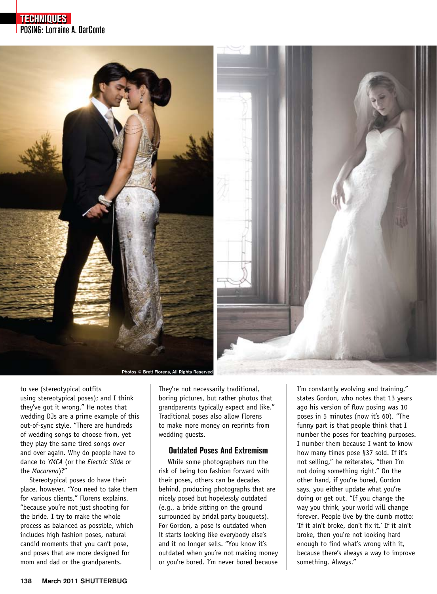# POSING: Lorraine A. DarConte **TECHNIQUES**



to see (stereotypical outfits using stereotypical poses); and I think they've got it wrong." He notes that wedding DJs are a prime example of this out-of-sync style. "There are hundreds of wedding songs to choose from, yet they play the same tired songs over and over again. Why do people have to dance to *YMCA* (or the *Electric Slide* or the *Macarena*)?"

Stereotypical poses do have their place, however. "You need to take them for various clients," Florens explains, "because you're not just shooting for the bride. I try to make the whole process as balanced as possible, which includes high fashion poses, natural candid moments that you can't pose, and poses that are more designed for mom and dad or the grandparents.

They're not necessarily traditional, boring pictures, but rather photos that grandparents typically expect and like." Traditional poses also allow Florens to make more money on reprints from wedding guests.

# **Outdated Poses And Extremism**

While some photographers run the risk of being too fashion forward with their poses, others can be decades behind, producing photographs that are nicely posed but hopelessly outdated (e.g., a bride sitting on the ground surrounded by bridal party bouquets). For Gordon, a pose is outdated when it starts looking like everybody else's and it no longer sells. "You know it's outdated when you're not making money or you're bored. I'm never bored because I'm constantly evolving and training," states Gordon, who notes that 13 years ago his version of flow posing was 10 poses in 5 minutes (now it's 60). "The funny part is that people think that I number the poses for teaching purposes. I number them because I want to know how many times pose #37 sold. If it's not selling," he reiterates, "then I'm not doing something right." On the other hand, if you're bored, Gordon says, you either update what you're doing or get out. "If you change the way you think, your world will change forever. People live by the dumb motto: 'If it ain't broke, don't fix it.' If it ain't broke, then you're not looking hard enough to find what's wrong with it, because there's always a way to improve something. Always."